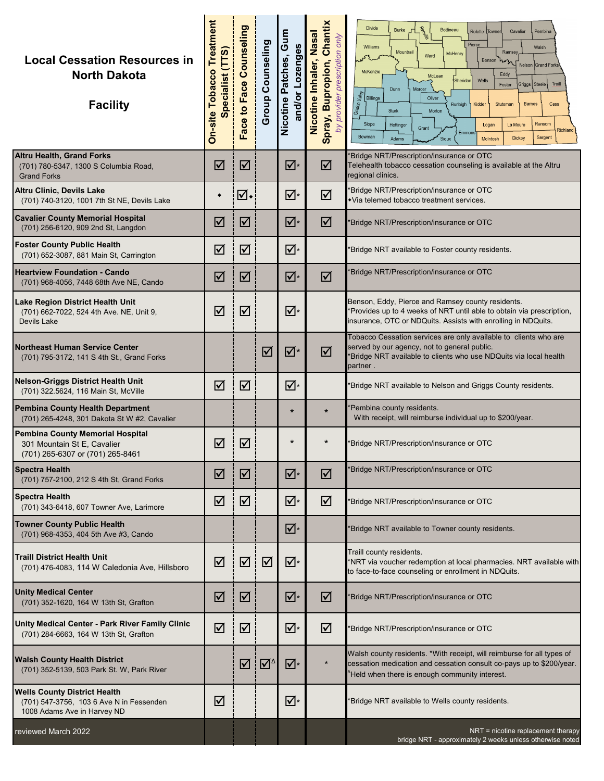| <b>Local Cessation Resources in</b><br><b>North Dakota</b><br><b>Facility</b>                                  | <b>On-site Tobacco Treatment</b><br>pecialist (TTS) | Face to Face Counseling | <b>Group Counseling</b> | Gum<br>and/or Lozenges<br>Nicotine Patches, | Chantix<br>Nicotine Inhaler, Nasal<br>provider prescription only<br>Spray, Bupropion,<br>by | <b>Divide</b><br>್ಯೊ<br><b>Burke</b><br>Bottineau<br>Rolette<br>Towner<br>Cavalier<br>Pembina<br>Pierce<br>Williams<br>Walsh<br>Mountrail<br>Ramsey<br>McHenry<br>Ward<br>Benson<br>Nelson Grand Forks<br>McKenzie<br>Eddy<br>McLean<br>Sheridar<br>Wells<br>Traill<br>Foster<br>Griggs   Steele<br>Dunn<br>Mercer<br>Golden Valley<br>Billings<br>Oliver<br>Kidder<br><b>Barnes</b><br>Burleigh<br>Stutsman<br>Cass<br><b>Stark</b><br>Morton<br>Ransom<br>Slope<br>La Moure<br>Hettinger<br>Logan<br>Grant<br>Richland<br>Emmon<br>Bowman<br><b>Dickey</b><br>Sargent<br>McIntosh<br>Adams<br>Sioux |
|----------------------------------------------------------------------------------------------------------------|-----------------------------------------------------|-------------------------|-------------------------|---------------------------------------------|---------------------------------------------------------------------------------------------|-------------------------------------------------------------------------------------------------------------------------------------------------------------------------------------------------------------------------------------------------------------------------------------------------------------------------------------------------------------------------------------------------------------------------------------------------------------------------------------------------------------------------------------------------------------------------------------------------------|
| <b>Altru Health, Grand Forks</b><br>(701) 780-5347, 1300 S Columbia Road,<br><b>Grand Forks</b>                | ☑                                                   | $\blacktriangledown$    |                         | ☑∗                                          | ☑                                                                                           | 'Bridge NRT/Prescription/insurance or OTC<br>Telehealth tobacco cessation counseling is available at the Altru<br>regional clinics.                                                                                                                                                                                                                                                                                                                                                                                                                                                                   |
| <b>Altru Clinic, Devils Lake</b><br>(701) 740-3120, 1001 7th St NE, Devils Lake                                | ٠                                                   | ⊽⊡                      |                         | ☑∗                                          | ☑                                                                                           | *Bridge NRT/Prescription/insurance or OTC<br>Via telemed tobacco treatment services.                                                                                                                                                                                                                                                                                                                                                                                                                                                                                                                  |
| <b>Cavalier County Memorial Hospital</b><br>(701) 256-6120, 909 2nd St, Langdon                                | ☑                                                   | ☑                       |                         | ☑∗                                          | ☑                                                                                           | Bridge NRT/Prescription/insurance or OTC                                                                                                                                                                                                                                                                                                                                                                                                                                                                                                                                                              |
| <b>Foster County Public Health</b><br>(701) 652-3087, 881 Main St, Carrington                                  | ☑                                                   | $\blacktriangledown$    |                         | ☑∗                                          |                                                                                             | Bridge NRT available to Foster county residents.                                                                                                                                                                                                                                                                                                                                                                                                                                                                                                                                                      |
| <b>Heartview Foundation - Cando</b><br>(701) 968-4056, 7448 68th Ave NE, Cando                                 | ☑                                                   | ☑                       |                         | ☑∗                                          | ☑                                                                                           | Bridge NRT/Prescription/insurance or OTC                                                                                                                                                                                                                                                                                                                                                                                                                                                                                                                                                              |
| Lake Region District Health Unit<br>(701) 662-7022, 524 4th Ave. NE, Unit 9,<br><b>Devils Lake</b>             | ☑                                                   | ☑                       |                         | ☑∗                                          |                                                                                             | Benson, Eddy, Pierce and Ramsey county residents.<br>*Provides up to 4 weeks of NRT until able to obtain via prescription,<br>insurance, OTC or NDQuits. Assists with enrolling in NDQuits.                                                                                                                                                                                                                                                                                                                                                                                                           |
| <b>Northeast Human Service Center</b><br>(701) 795-3172, 141 S 4th St., Grand Forks                            |                                                     |                         | $\blacktriangledown$    | ⊠*                                          | $\triangledown$                                                                             | Tobacco Cessation services are only available to clients who are<br>served by our agency, not to general public.<br>*Bridge NRT available to clients who use NDQuits via local health<br>partner .                                                                                                                                                                                                                                                                                                                                                                                                    |
| <b>Nelson-Griggs District Health Unit</b><br>(701) 322.5624, 116 Main St, McVille                              | ☑                                                   | ☑                       |                         | ☑∗                                          |                                                                                             | Bridge NRT available to Nelson and Griggs County residents.                                                                                                                                                                                                                                                                                                                                                                                                                                                                                                                                           |
| <b>Pembina County Health Department</b><br>(701) 265-4248, 301 Dakota St W #2, Cavalier                        |                                                     |                         |                         | $\star$                                     | $\star$                                                                                     | 'Pembina county residents.<br>With receipt, will reimburse individual up to \$200/year.                                                                                                                                                                                                                                                                                                                                                                                                                                                                                                               |
| <b>Pembina County Memorial Hospital</b><br>301 Mountain St E, Cavalier<br>(701) 265-6307 or (701) 265-8461     | ☑                                                   | $\blacktriangledown$    |                         | $\star$                                     | $\ast$                                                                                      | 'Bridge NRT/Prescription/insurance or OTC                                                                                                                                                                                                                                                                                                                                                                                                                                                                                                                                                             |
| <b>Spectra Health</b><br>(701) 757-2100, 212 S 4th St, Grand Forks                                             | ☑                                                   | ☑                       |                         | ☑∗                                          | ☑                                                                                           | *Bridge NRT/Prescription/insurance or OTC                                                                                                                                                                                                                                                                                                                                                                                                                                                                                                                                                             |
| <b>Spectra Health</b><br>(701) 343-6418, 607 Towner Ave, Larimore                                              | ☑                                                   | ☑                       |                         | "⊠                                          | ☑                                                                                           | Bridge NRT/Prescription/insurance or OTC                                                                                                                                                                                                                                                                                                                                                                                                                                                                                                                                                              |
| <b>Towner County Public Health</b><br>(701) 968-4353, 404 5th Ave #3, Cando                                    |                                                     |                         |                         | ☑∗                                          |                                                                                             | *Bridge NRT available to Towner county residents.                                                                                                                                                                                                                                                                                                                                                                                                                                                                                                                                                     |
| <b>Traill District Health Unit</b><br>(701) 476-4083, 114 W Caledonia Ave, Hillsboro                           | ☑                                                   | ☑                       | ☑                       | ☑∗                                          |                                                                                             | Traill county residents.<br>*NRT via voucher redemption at local pharmacies. NRT available with<br>to face-to-face counseling or enrollment in NDQuits.                                                                                                                                                                                                                                                                                                                                                                                                                                               |
| <b>Unity Medical Center</b><br>(701) 352-1620, 164 W 13th St, Grafton                                          | ☑                                                   | ☑                       |                         | ☑∗                                          | ☑                                                                                           | 'Bridge NRT/Prescription/insurance or OTC                                                                                                                                                                                                                                                                                                                                                                                                                                                                                                                                                             |
| Unity Medical Center - Park River Family Clinic<br>(701) 284-6663, 164 W 13th St, Grafton                      | ☑                                                   | ☑                       |                         | ☑∗                                          | ☑                                                                                           | 'Bridge NRT/Prescription/insurance or OTC                                                                                                                                                                                                                                                                                                                                                                                                                                                                                                                                                             |
| <b>Walsh County Health District</b><br>(701) 352-5139, 503 Park St. W, Park River                              |                                                     | ☑                       | ☑                       | ☑∗                                          |                                                                                             | Walsh county residents. *With receipt, will reimburse for all types of<br>cessation medication and cessation consult co-pays up to \$200/year.<br>Held when there is enough community interest.                                                                                                                                                                                                                                                                                                                                                                                                       |
| <b>Wells County District Health</b><br>(701) 547-3756, 103 6 Ave N in Fessenden<br>1008 Adams Ave in Harvey ND | ☑                                                   |                         |                         | ☑∗                                          |                                                                                             | Bridge NRT available to Wells county residents.                                                                                                                                                                                                                                                                                                                                                                                                                                                                                                                                                       |
| reviewed March 2022                                                                                            |                                                     |                         |                         |                                             |                                                                                             | NRT = nicotine replacement therapy<br>bridge NRT - approximately 2 weeks unless otherwise noted                                                                                                                                                                                                                                                                                                                                                                                                                                                                                                       |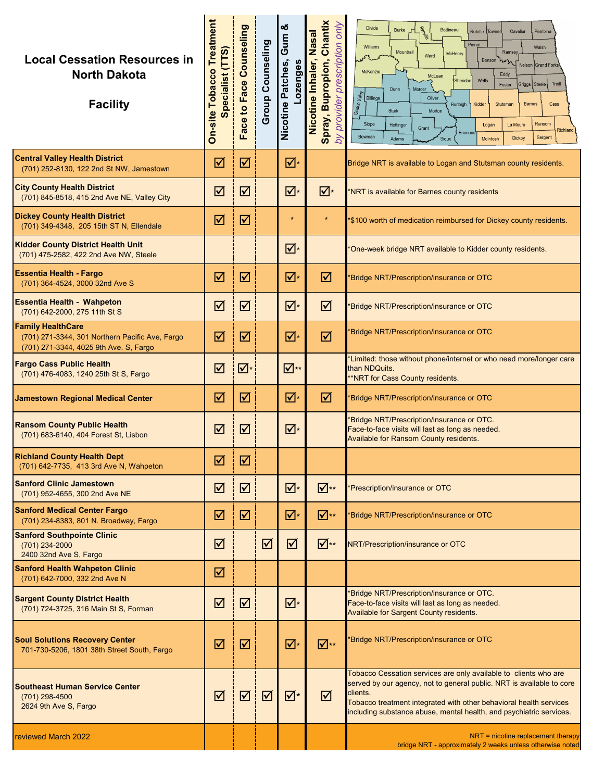| <b>Local Cessation Resources in</b><br><b>North Dakota</b><br><b>Facility</b>                                         | On-site Tobacco Treatment<br>pecialist (TTS) | Face to Face Counseling | <b>Group Counseling</b> | න්<br>Gum<br>Lozenges<br>Nicotine Patches, | Chantix<br>only<br>Nicotine Inhaler, Nasal<br>prescription<br>Spray, Bupropion,<br>provider<br>by | <b>Divide</b><br>Ren<br><b>Bottineau</b><br><b>Burke</b><br>Rolette Towner<br>Cavalier<br>Pembina<br>Pierce<br>Williams<br>Walsh<br>Mountrail<br>Ramsey<br>McHenry<br>Ward<br>Benson<br>Nelson Grand Forks<br>McKenzie<br>Eddy<br>McLean<br>Wells<br>Sheridan<br>Griggs Steele<br>Traill<br>Foster<br>Mercer<br>Dunn<br>Golden Valley<br>Billings<br>Oliver<br><b>Barnes</b><br>Burleigh<br>Kidder<br>Cass<br>Stutsman<br>Stark<br>Morton<br>Slope<br>Ransom<br>La Moure<br>Hettinger<br>Logan<br>Grant<br>Richland<br>Emmon<br>Bowman<br><b>Dickey</b><br>Sargent<br>Sioux<br>McIntosh<br>Adams |
|-----------------------------------------------------------------------------------------------------------------------|----------------------------------------------|-------------------------|-------------------------|--------------------------------------------|---------------------------------------------------------------------------------------------------|--------------------------------------------------------------------------------------------------------------------------------------------------------------------------------------------------------------------------------------------------------------------------------------------------------------------------------------------------------------------------------------------------------------------------------------------------------------------------------------------------------------------------------------------------------------------------------------------------|
| <b>Central Valley Health District</b><br>(701) 252-8130, 122 2nd St NW, Jamestown                                     | ☑                                            | $\triangledown$         |                         | ⊽∗                                         |                                                                                                   | Bridge NRT is available to Logan and Stutsman county residents.                                                                                                                                                                                                                                                                                                                                                                                                                                                                                                                                  |
| <b>City County Health District</b><br>(701) 845-8518, 415 2nd Ave NE, Valley City                                     | ☑                                            | $\triangledown$         |                         | ☑∗                                         | ☑∗                                                                                                | NRT is available for Barnes county residents                                                                                                                                                                                                                                                                                                                                                                                                                                                                                                                                                     |
| <b>Dickey County Health District</b><br>(701) 349-4348, 205 15th ST N, Ellendale                                      | ☑                                            | $\triangledown$         |                         | $\star$                                    | $\star$                                                                                           | \$100 worth of medication reimbursed for Dickey county residents.                                                                                                                                                                                                                                                                                                                                                                                                                                                                                                                                |
| <b>Kidder County District Health Unit</b><br>(701) 475-2582, 422 2nd Ave NW, Steele                                   |                                              |                         |                         | ☑∗                                         |                                                                                                   | One-week bridge NRT available to Kidder county residents.                                                                                                                                                                                                                                                                                                                                                                                                                                                                                                                                        |
| <b>Essentia Health - Fargo</b><br>(701) 364-4524, 3000 32nd Ave S                                                     | ☑                                            | $\triangledown$         |                         | ⊽∗                                         | ☑                                                                                                 | Bridge NRT/Prescription/insurance or OTC                                                                                                                                                                                                                                                                                                                                                                                                                                                                                                                                                         |
| <b>Essentia Health - Wahpeton</b><br>(701) 642-2000, 275 11th St S                                                    | ☑                                            | $\triangledown$         |                         | ☑∗                                         | ☑                                                                                                 | Bridge NRT/Prescription/insurance or OTC                                                                                                                                                                                                                                                                                                                                                                                                                                                                                                                                                         |
| <b>Family HealthCare</b><br>(701) 271-3344, 301 Northern Pacific Ave, Fargo<br>(701) 271-3344, 4025 9th Ave. S, Fargo | ☑                                            | $\triangledown$         |                         | ☑∗                                         | ☑                                                                                                 | 'Bridge NRT/Prescription/insurance or OTC                                                                                                                                                                                                                                                                                                                                                                                                                                                                                                                                                        |
| <b>Fargo Cass Public Health</b><br>(701) 476-4083, 1240 25th St S, Fargo                                              | ☑                                            | ☑                       |                         | ⊻⊺™                                        |                                                                                                   | *Limited: those without phone/internet or who need more/longer care<br>than NDQuits.<br>**NRT for Cass County residents.                                                                                                                                                                                                                                                                                                                                                                                                                                                                         |
| <b>Jamestown Regional Medical Center</b>                                                                              | ☑                                            | $\triangledown$         |                         | ⊽∗                                         | ☑                                                                                                 | 'Bridge NRT/Prescription/insurance or OTC                                                                                                                                                                                                                                                                                                                                                                                                                                                                                                                                                        |
| <b>Ransom County Public Health</b><br>(701) 683-6140, 404 Forest St, Lisbon                                           | ☑                                            | $\triangledown$         |                         | ☑∗                                         |                                                                                                   | Bridge NRT/Prescription/insurance or OTC.<br>Face-to-face visits will last as long as needed.<br><b>Available for Ransom County residents.</b>                                                                                                                                                                                                                                                                                                                                                                                                                                                   |
| <b>Richland County Health Dept</b><br>(701) 642-7735, 413 3rd Ave N, Wahpeton                                         | ☑                                            | $\triangledown$         |                         |                                            |                                                                                                   |                                                                                                                                                                                                                                                                                                                                                                                                                                                                                                                                                                                                  |
| <b>Sanford Clinic Jamestown</b><br>(701) 952-4655, 300 2nd Ave NE                                                     | ☑                                            | ☑                       |                         | ☑∗                                         | ⊠∗∗                                                                                               | Prescription/insurance or OTC                                                                                                                                                                                                                                                                                                                                                                                                                                                                                                                                                                    |
| <b>Sanford Medical Center Fargo</b><br>(701) 234-8383, 801 N. Broadway, Fargo                                         | ☑                                            | ☑                       |                         | ☑∗                                         | $\overline{\mathbf{N}}^{**}$                                                                      | 'Bridge NRT/Prescription/insurance or OTC                                                                                                                                                                                                                                                                                                                                                                                                                                                                                                                                                        |
| <b>Sanford Southpointe Clinic</b><br>(701) 234-2000<br>2400 32nd Ave S, Fargo                                         | ☑                                            |                         | ☑                       | ☑                                          | $\overline{\mathbf{v}}$ **                                                                        | NRT/Prescription/insurance or OTC                                                                                                                                                                                                                                                                                                                                                                                                                                                                                                                                                                |
| <b>Sanford Health Wahpeton Clinic</b><br>(701) 642-7000, 332 2nd Ave N                                                | ☑                                            |                         |                         |                                            |                                                                                                   |                                                                                                                                                                                                                                                                                                                                                                                                                                                                                                                                                                                                  |
| <b>Sargent County District Health</b><br>(701) 724-3725, 316 Main St S, Forman                                        | ☑                                            | $\triangledown$         |                         | ☑∗                                         |                                                                                                   | 'Bridge NRT/Prescription/insurance or OTC.<br>Face-to-face visits will last as long as needed.<br>Available for Sargent County residents.                                                                                                                                                                                                                                                                                                                                                                                                                                                        |
| <b>Soul Solutions Recovery Center</b><br>701-730-5206, 1801 38th Street South, Fargo                                  | ☑                                            | $\triangledown$         |                         | ⊻⊺                                         | $\overline{\mathbf{v}}$ **                                                                        | 'Bridge NRT/Prescription/insurance or OTC                                                                                                                                                                                                                                                                                                                                                                                                                                                                                                                                                        |
| <b>Southeast Human Service Center</b><br>(701) 298-4500<br>2624 9th Ave S, Fargo                                      | ☑                                            | $\triangledown$         | ☑                       | ☑∗                                         | ☑                                                                                                 | Tobacco Cessation services are only available to clients who are<br>served by our agency, not to general public. NRT is available to core<br>clients.<br>Tobacco treatment integrated with other behavioral health services<br>including substance abuse, mental health, and psychiatric services.                                                                                                                                                                                                                                                                                               |
| <b>reviewed March 2022</b>                                                                                            |                                              |                         |                         |                                            |                                                                                                   | $NRT$ = nicotine replacement therapy<br>bridge NRT - approximately 2 weeks unless otherwise noted                                                                                                                                                                                                                                                                                                                                                                                                                                                                                                |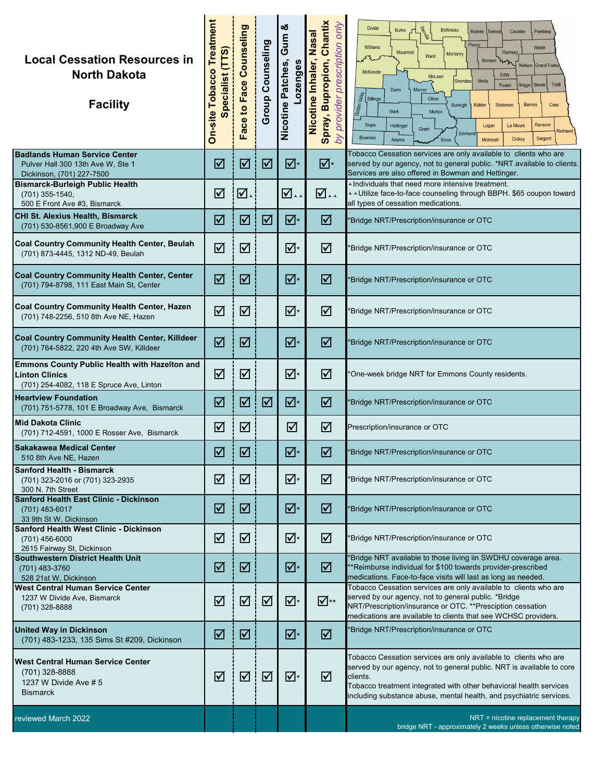| <b>Local Cessation Resources in</b><br><b>North Dakota</b><br><b>Facility</b>                                             | <b>On-site Tobacco Treatment</b><br>pecialist (TTS) | Face Counseling<br>Face to | <b>Group Counseling</b> | න්<br>Gum<br>Nicotine Patches,<br>ozenges | Chantix<br>provider prescription only<br>Nicotine Inhaler, Nasal<br>Spray, Bupropion,<br>by | <b>Divide</b><br><b>Per</b><br>Bottineau<br><b>Burke</b><br>Rolette<br>Cavalier<br>Pembina<br>Towner<br>Pierce<br>Williams<br>Walsh<br>Mountrail<br><b>Ramse</b><br>McHenry<br>Ward<br>Benson<br>Nelson Grand Forks<br>McKenzie<br>Eddy<br>McLean<br>Sheridan<br>Wells<br>Traill<br>Foster<br>Griggs  <br><b>Steele</b><br>Dunn<br>Mercer<br>Golden Valley<br>Billings<br>Oliver<br>Kidder<br><b>Barnes</b><br>Cass<br>Burleigh<br>Stutsman<br><b>Stark</b><br>Morton<br>Ransom<br>Slope<br>Hettinger<br>Logan<br>La Moure<br>Grant<br>Richland<br>Emmon<br>Bowman<br>Dickey<br>Sargent<br>Sioux<br>McIntosh<br>Adams |
|---------------------------------------------------------------------------------------------------------------------------|-----------------------------------------------------|----------------------------|-------------------------|-------------------------------------------|---------------------------------------------------------------------------------------------|-----------------------------------------------------------------------------------------------------------------------------------------------------------------------------------------------------------------------------------------------------------------------------------------------------------------------------------------------------------------------------------------------------------------------------------------------------------------------------------------------------------------------------------------------------------------------------------------------------------------------|
| <b>Badlands Human Service Center</b><br>Pulver Hall 300 13th Ave W, Ste 1<br>Dickinson, (701) 227-7500                    | ☑                                                   | ☑                          | ☑                       | ☑∗                                        | ☑∗                                                                                          | Tobacco Cessation services are only available to clients who are<br>served by our agency, not to general public. *NRT available to clients.<br>Services are also offered in Bowman and Hettinger.                                                                                                                                                                                                                                                                                                                                                                                                                     |
| <b>Bismarck-Burleigh Public Health</b><br>(701) 355-1540,<br>500 E Front Ave #3, Bismarck                                 | ☑                                                   | ☑                          |                         | ☑∽                                        | ☑∽                                                                                          | Individuals that need more intensive treatment.<br>▲ ↓ Utilize face-to-face counseling through BBPH. \$65 coupon toward<br>all types of cessation medications.                                                                                                                                                                                                                                                                                                                                                                                                                                                        |
| <b>CHI St. Alexius Health, Bismarck</b><br>(701) 530-8561,900 E Broadway Ave                                              | ☑                                                   | $\blacktriangledown$       | ☑                       | ☑∗                                        | ☑                                                                                           | Bridge NRT/Prescription/insurance or OTC                                                                                                                                                                                                                                                                                                                                                                                                                                                                                                                                                                              |
| Coal Country Community Health Center, Beulah<br>(701) 873-4445, 1312 ND-49, Beulah                                        | ☑                                                   | ☑                          |                         | ☑∗                                        | ☑                                                                                           | Bridge NRT/Prescription/insurance or OTC                                                                                                                                                                                                                                                                                                                                                                                                                                                                                                                                                                              |
| <b>Coal Country Community Health Center, Center</b><br>(701) 794-8798, 111 East Main St, Center                           | ☑                                                   | $\triangledown$            |                         | ⊠∗                                        | ☑                                                                                           | Bridge NRT/Prescription/insurance or OTC                                                                                                                                                                                                                                                                                                                                                                                                                                                                                                                                                                              |
| Coal Country Community Health Center, Hazen<br>(701) 748-2256, 510 8th Ave NE, Hazen                                      | ☑                                                   | $\blacktriangledown$       |                         | ⊽∗                                        | ☑                                                                                           | Bridge NRT/Prescription/insurance or OTC                                                                                                                                                                                                                                                                                                                                                                                                                                                                                                                                                                              |
| Coal Country Community Health Center, Killdeer<br>(701) 764-5822, 220 4th Ave SW, Killdeer                                | ☑                                                   | ☑                          |                         | ⊠∗                                        | ☑                                                                                           | Bridge NRT/Prescription/insurance or OTC                                                                                                                                                                                                                                                                                                                                                                                                                                                                                                                                                                              |
| <b>Emmons County Public Health with Hazelton and</b><br><b>Linton Clinics</b><br>(701) 254-4082, 118 E Spruce Ave, Linton | ☑                                                   | $\triangledown$            |                         | ☑∗                                        | ☑                                                                                           | One-week bridge NRT for Emmons County residents.                                                                                                                                                                                                                                                                                                                                                                                                                                                                                                                                                                      |
| <b>Heartview Foundation</b><br>(701) 751-5778, 101 E Broadway Ave, Bismarck                                               | ☑                                                   | ☑                          | ☑                       | ⊠∗                                        | ☑                                                                                           | Bridge NRT/Prescription/insurance or OTC                                                                                                                                                                                                                                                                                                                                                                                                                                                                                                                                                                              |
| <b>Mid Dakota Clinic</b><br>(701) 712-4591, 1000 E Rosser Ave, Bismarck                                                   | ☑                                                   | $\triangledown$            |                         | ☑                                         | ☑                                                                                           | Prescription/insurance or OTC                                                                                                                                                                                                                                                                                                                                                                                                                                                                                                                                                                                         |
| <b>Sakakawea Medical Center</b><br>510 8th Ave NE, Hazen                                                                  | ☑                                                   | $\triangledown$            |                         | $\overline{\mathsf{M}}{}^*$               | ☑                                                                                           | *Bridge NRT/Prescription/insurance or OTC                                                                                                                                                                                                                                                                                                                                                                                                                                                                                                                                                                             |
| <b>Sanford Health - Bismarck</b><br>(701) 323-2016 or (701) 323-2935<br>300 N. 7th Street                                 | ☑                                                   | ☑                          |                         | ☑∗                                        | ☑                                                                                           | Bridge NRT/Prescription/insurance or OTC                                                                                                                                                                                                                                                                                                                                                                                                                                                                                                                                                                              |
| Sanford Health East Clinic - Dickinson<br>(701) 483-6017<br>33 9th St W, Dickinson                                        | ☑                                                   | ☑                          |                         | ⊽∗                                        | ☑                                                                                           | Bridge NRT/Prescription/insurance or OTC                                                                                                                                                                                                                                                                                                                                                                                                                                                                                                                                                                              |
| Sanford Health West Clinic - Dickinson<br>$(701)$ 456-6000<br>2615 Fairway St, Dickinson                                  | ☑                                                   | ☑                          |                         | ☑∗                                        | ☑                                                                                           | Bridge NRT/Prescription/insurance or OTC                                                                                                                                                                                                                                                                                                                                                                                                                                                                                                                                                                              |
| <b>Southwestern District Health Unit</b><br>(701) 483-3760<br>528 21st W, Dickinson                                       | ☑                                                   | ☑                          |                         | ☑∗                                        | ☑                                                                                           | 'Bridge NRT available to those living iin SWDHU coverage area.<br>*Reimburse individual for \$100 towards provider-prescribed<br>medications. Face-to-face visits will last as long as needed.                                                                                                                                                                                                                                                                                                                                                                                                                        |
| <b>West Central Human Service Center</b><br>1237 W Divide Ave, Bismarck<br>$(701)$ 328-8888                               | ☑                                                   | ☑                          | ☑                       | ⊻⊺                                        | ⊻∤™                                                                                         | Tobacco Cessation services are only available to clients who are<br>served by our agency, not to general public. *Bridge<br>NRT/Prescription/insurance or OTC. **Presciption cessation<br>medications are available to clients that see WCHSC providers.                                                                                                                                                                                                                                                                                                                                                              |
| <b>United Way in Dickinson</b><br>(701) 483-1233, 135 Sims St #209, Dickinson                                             | ☑                                                   | ☑                          |                         | ☑∗                                        | ☑                                                                                           | 'Bridge NRT/Prescription/insurance or OTC                                                                                                                                                                                                                                                                                                                                                                                                                                                                                                                                                                             |
| <b>West Central Human Service Center</b><br>(701) 328-8888<br>1237 W Divide Ave # 5<br><b>Bismarck</b>                    | ☑                                                   | ☑                          | ☑                       | ☑∗                                        | ☑                                                                                           | Tobacco Cessation services are only available to clients who are<br>served by our agency, not to general public. NRT is available to core<br>clients.<br>Tobacco treatment integrated with other behavioral health services<br>including substance abuse, mental health, and psychiatric services.                                                                                                                                                                                                                                                                                                                    |
| reviewed March 2022                                                                                                       |                                                     |                            |                         |                                           |                                                                                             | NRT = nicotine replacement therapy<br>bridge NRT - approximately 2 weeks unless otherwise noted                                                                                                                                                                                                                                                                                                                                                                                                                                                                                                                       |